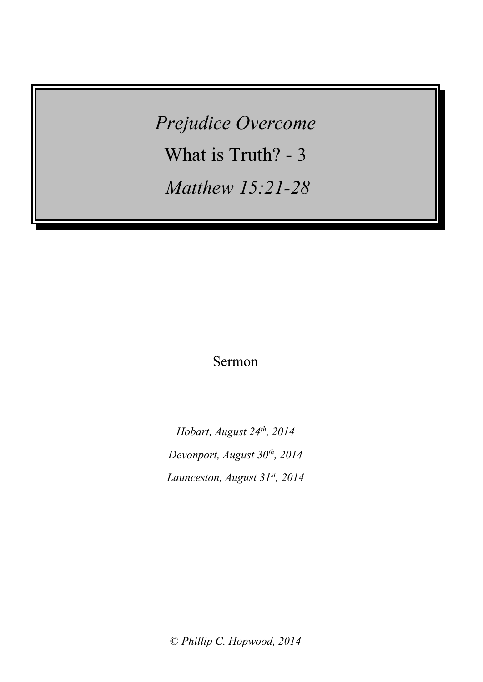*Prejudice Overcome* What is Truth? - 3 *Matthew 15:21-28*

Sermon

*Hobart, August 24th , 2014 Devonport, August 30th , 2014 Launceston, August 31 st, 2014*

© *Phillip C. Hopwood, 2014*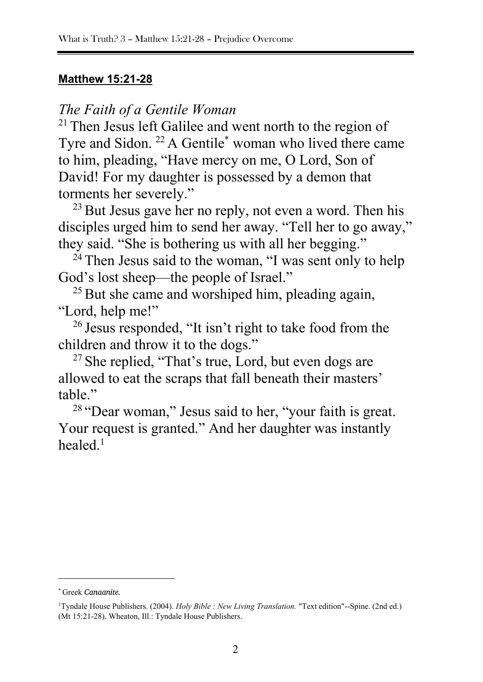### **Matthew 15:21-28**

*The Faith of a Gentile Woman*

<sup>21</sup> Then Jesus left Galilee and went north to the region of Tyre and Sidon. <sup>22</sup> A Gentile<sup>\*</sup> woman who lived there came to him, pleading, "Have mercy on me, O Lord, Son of David! For my daughter is possessed by a demon that torments her severely."

<sup>23</sup> But Jesus gave her no reply, not even a word. Then his disciples urged him to send her away. "Tell her to go away," they said. "She is bothering us with all her begging."

 $24$  Then Jesus said to the woman, "I was sent only to help God's lost sheep—the people of Israel."

<sup>25</sup> But she came and worshiped him, pleading again, "Lord, help me!"

<sup>26</sup> Jesus responded, "It isn't right to take food from the children and throw it to the dogs."

<sup>27</sup> She replied, "That's true, Lord, but even dogs are allowed to eat the scraps that fall beneath their masters' table."

<sup>28</sup> "Dear woman," Jesus said to her, "your faith is great. Your request is granted." And her daughter was instantly healed $^1$ 

<sup>\*</sup> Greek *Canaanite.*

<sup>1</sup>Tyndale House Publishers. (2004). *Holy Bible : New Living Translation.* "Text edition"--Spine. (2nd ed.) (Mt 15:21-28). Wheaton, Ill.: Tyndale House Publishers.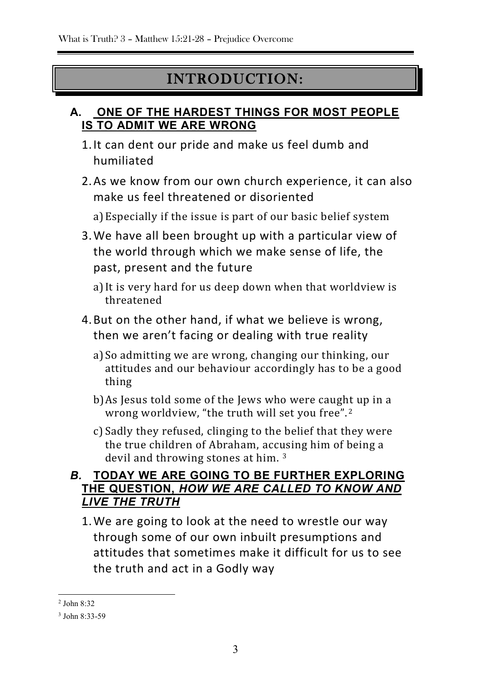## INTRODUCTION:

### **A. ONE OF THE HARDEST THINGS FOR MOST PEOPLE IS TO ADMIT WE ARE WRONG**

- 1.It can dent our pride and make us feel dumb and humiliated
- 2.As we know from our own church experience, it can also make us feel threatened or disoriented

a)Especially if the issue is part of our basic belief system

- 3.We have all been brought up with a particular view of the world through which we make sense of life, the past, present and the future
	- a)It is very hard for us deep down when that worldview is threatened
- 4.But on the other hand, if what we believe is wrong, then we aren't facing or dealing with true reality
	- a)So admitting we are wrong, changing our thinking, our attitudes and our behaviour accordingly has to be a good thing
	- b)As Jesus told some of the Jews who were caught up in a wrong worldview, "the truth will set you free". <sup>2</sup>
	- c) Sadly they refused, clinging to the belief that they were the true children of Abraham, accusing him of being a devil and throwing stones at him. <sup>3</sup>

### *B.* **TODAY WE ARE GOING TO BE FURTHER EXPLORING THE QUESTION,** *HOW WE ARE CALLED TO KNOW AND LIVE THE TRUTH*

1.We are going to look at the need to wrestle our way through some of our own inbuilt presumptions and attitudes that sometimes make it difficult for us to see the truth and act in a Godly way

1

<sup>2</sup> John 8:32

<sup>3</sup> John 8:33-59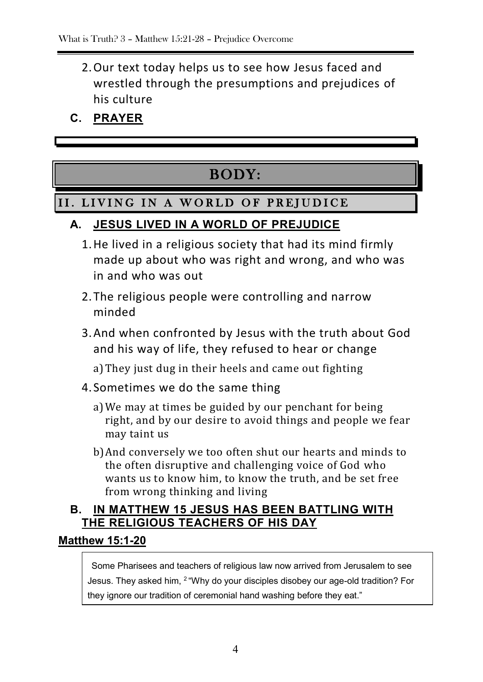- 2.Our text today helps us to see how Jesus faced and wrestled through the presumptions and prejudices of his culture
- **C. PRAYER**

# BODY:

### II. LIVING IN A WORLD OF PREJUDICE

### **A. JESUS LIVED IN A WORLD OF PREJUDICE**

- 1.He lived in a religious society that had its mind firmly made up about who was right and wrong, and who was in and who was out
- 2.The religious people were controlling and narrow minded
- 3.And when confronted by Jesus with the truth about God and his way of life, they refused to hear or change

a)They just dug in their heels and came out fighting

- 4. Sometimes we do the same thing
	- a)We may at times be guided by our penchant for being right, and by our desire to avoid things and people we fear may taint us
	- b)And conversely we too often shut our hearts and minds to the often disruptive and challenging voice of God who wants us to know him, to know the truth, and be set free from wrong thinking and living

### **B.** IN MATTHEW 15 JESUS HAS BEEN BATTLING WITH **THE RELIGIOUS TEACHERS OF HIS DAY**

### **Matthew 15:1-20**

Some Pharisees and teachers of religious law now arrived from Jerusalem to see Jesus. They asked him, <sup>2</sup> "Why do your disciples disobey our age-old tradition? For they ignore our tradition of ceremonial hand washing before they eat."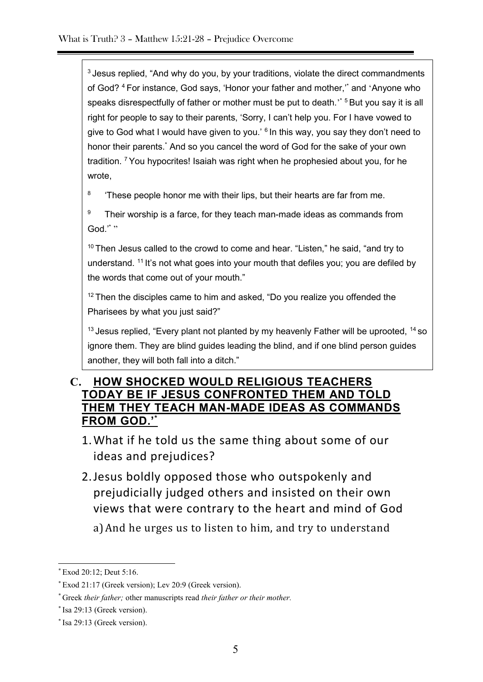<sup>3</sup> Jesus replied, "And why do you, by your traditions, violate the direct commandments of God? <sup>4</sup> For instance, God says, 'Honor your father and mother,'\* and 'Anyone who speaks disrespectfully of father or mother must be put to death.<sup>2\* 5</sup> But you say it is all right for people to say to their parents, 'Sorry, I can't help you. For I have vowed to give to God what I would have given to you.' <sup>6</sup> In this way, you say they don't need to honor their parents.\* And so you cancel the word of God for the sake of your own tradition. <sup>7</sup> You hypocrites! Isaiah was right when he prophesied about you, for he wrote,

8 'These people honor me with their lips, but their hearts are far from me.

9 Their worship is a farce, for they teach man-made ideas as commands from God.""

<sup>10</sup> Then Jesus called to the crowd to come and hear. "Listen," he said, "and try to understand. <sup>11</sup> It's not what goes into your mouth that defiles you; you are defiled by the words that come out of your mouth."

 $12$  Then the disciples came to him and asked, "Do you realize you offended the Pharisees by what you just said?"

 $13$  Jesus replied, "Every plant not planted by my heavenly Father will be uprooted,  $14$  so ignore them. They are blind guides leading the blind, and if one blind person guides another, they will both fall into a ditch."

#### **C. HOW SHOCKED WOULD RELIGIOUS TEACHERS TODAY BE IF JESUS CONFRONTED THEM AND TOLD THEM THEY TEACH MAN-MADE IDEAS AS COMMANDS FROM GOD.'\***

- 1.What if he told us the same thing about some of our ideas and prejudices?
- 2.Jesus boldly opposed those who outspokenly and prejudicially judged others and insisted on their own views that were contrary to the heart and mind of God

a)And he urges us to listen to him, and try to understand

1

<sup>\*</sup> Exod 20:12; Deut 5:16.

<sup>\*</sup> Exod 21:17 (Greek version); Lev 20:9 (Greek version).

<sup>\*</sup> Greek *their father;* other manuscripts read *their father or their mother.*

<sup>\*</sup> Isa 29:13 (Greek version).

<sup>\*</sup> Isa 29:13 (Greek version).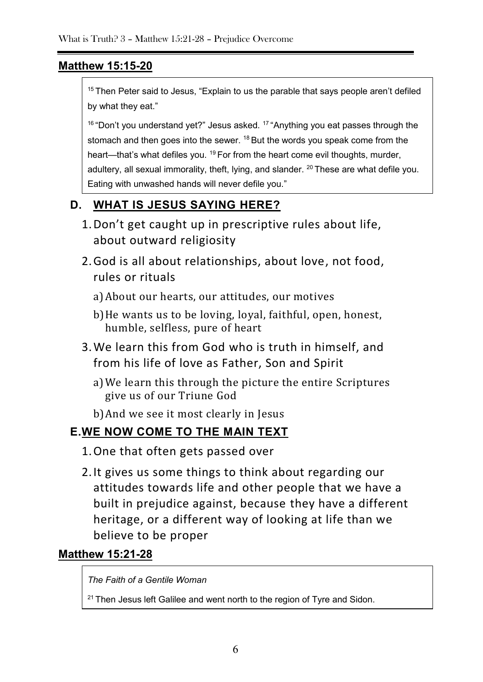### **Matthew 15:15-20**

 $15$  Then Peter said to Jesus, "Explain to us the parable that says people aren't defiled by what they eat."

 $16$  "Don't you understand yet?" Jesus asked.  $17$  "Anything you eat passes through the stomach and then goes into the sewer. <sup>18</sup> But the words you speak come from the heart—that's what defiles you. <sup>19</sup> For from the heart come evil thoughts, murder, adultery, all sexual immorality, theft, lying, and slander. <sup>20</sup> These are what defile you. Eating with unwashed hands will never defile you."

### **D. WHAT IS JESUS SAYING HERE?**

- 1.Don't get caught up in prescriptive rules about life, about outward religiosity
- 2.God is all about relationships, about love, not food, rules or rituals
	- a)About our hearts, our attitudes, our motives
	- b)He wants us to be loving, loyal, faithful, open, honest, humble, selfless, pure of heart
- 3.We learn this from God who is truth in himself, and from his life of love as Father, Son and Spirit
	- a)We learn this through the picture the entire Scriptures give us of our Triune God
	- b)And we see it most clearly in Jesus

### **E.WE NOW COME TO THE MAIN TEXT**

- 1.One that often gets passed over
- 2.It gives us some things to think about regarding our attitudes towards life and other people that we have a built in prejudice against, because they have a different heritage, or a different way of looking at life than we believe to be proper

### **Matthew 15:21-28**

*The Faith of a Gentile Woman*

 $21$  Then Jesus left Galilee and went north to the region of Tyre and Sidon.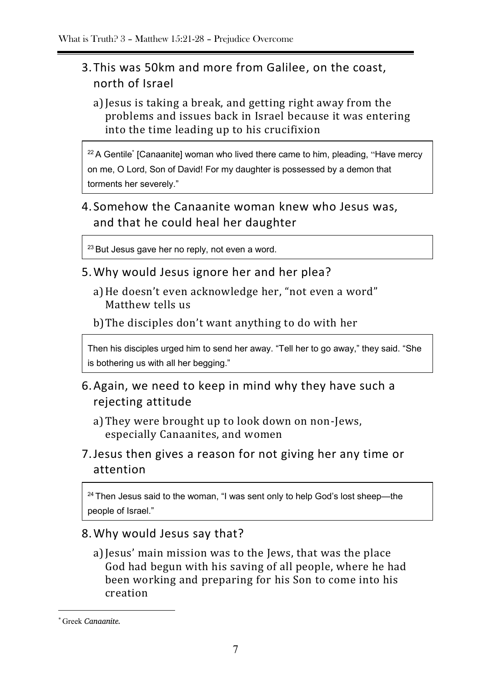### 3.This was 50km and more from Galilee, on the coast, north of Israel

a)Jesus is taking a break, and getting right away from the problems and issues back in Israel because it was entering into the time leading up to his crucifixion

 $22$  A Gentile\* [Canaanite] woman who lived there came to him, pleading, "Have mercy on me, O Lord, Son of David! For my daughter is possessed by a demon that torments her severely."

### 4. Somehow the Canaanite woman knew who Jesus was, and that he could heal her daughter

 $23$  But Jesus gave her no reply, not even a word.

- 5.Why would Jesus ignore her and her plea?
	- a)He doesn't even acknowledge her, "not even a word" Matthew tells us

b)The disciples don't want anything to do with her

Then his disciples urged him to send her away. "Tell her to go away," they said. "She is bothering us with all her begging."

- 6.Again, we need to keep in mind why they have such a rejecting attitude
	- a)They were brought up to look down on non-Jews, especially Canaanites, and women
- 7.Jesus then gives a reason for not giving her any time or attention

<sup>24</sup> Then Jesus said to the woman, "I was sent only to help God's lost sheep-the people of Israel."

### 8.Why would Jesus say that?

a)Jesus' main mission was to the Jews, that was the place God had begun with his saving of all people, where he had been working and preparing for his Son to come into his creation

<sup>\*</sup> Greek *Canaanite.*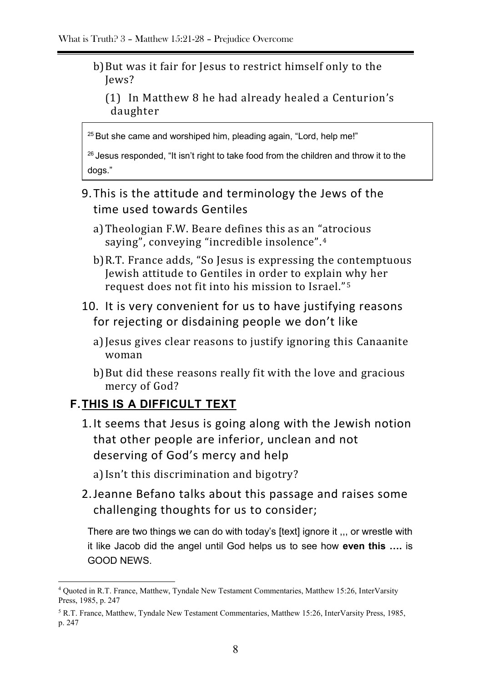- b)But was it fair for Jesus to restrict himself only to the Jews?
	- (1) In Matthew 8 he had already healed a Centurion's daughter

<sup>25</sup> But she came and worshiped him, pleading again, "Lord, help me!"

<sup>26</sup> Jesus responded, "It isn't right to take food from the children and throw it to the dogs."

### 9.This is the attitude and terminology the Jews of the time used towards Gentiles

- a)Theologian F.W. Beare defines this as an "atrocious saying", conveying "incredible insolence".<sup>4</sup>
- b)R.T. France adds, "So Jesus is expressing the contemptuous Jewish attitude to Gentiles in order to explain why her request does not fit into his mission to Israel." <sup>5</sup>
- 10. It is very convenient for us to have justifying reasons for rejecting or disdaining people we don't like
	- a)Jesus gives clear reasons to justify ignoring this Canaanite woman
	- b)But did these reasons really fit with the love and gracious mercy of God?

### **F.THIS IS A DIFFICULT TEXT**

1

- 1.It seems that Jesus is going along with the Jewish notion that other people are inferior, unclean and not deserving of God's mercy and help
	- a)Isn't this discrimination and bigotry?
- 2.Jeanne Befano talks about this passage and raises some challenging thoughts for us to consider;

There are two things we can do with today's [text] ignore it ,,, or wrestle with it like Jacob did the angel until God helps us to see how **even this ….** is GOOD NEWS.

<sup>4</sup> Quoted in R.T. France, Matthew, Tyndale New Testament Commentaries, Matthew 15:26, InterVarsity Press, 1985, p. 247

<sup>5</sup> R.T. France, Matthew, Tyndale New Testament Commentaries, Matthew 15:26, InterVarsity Press, 1985, p. 247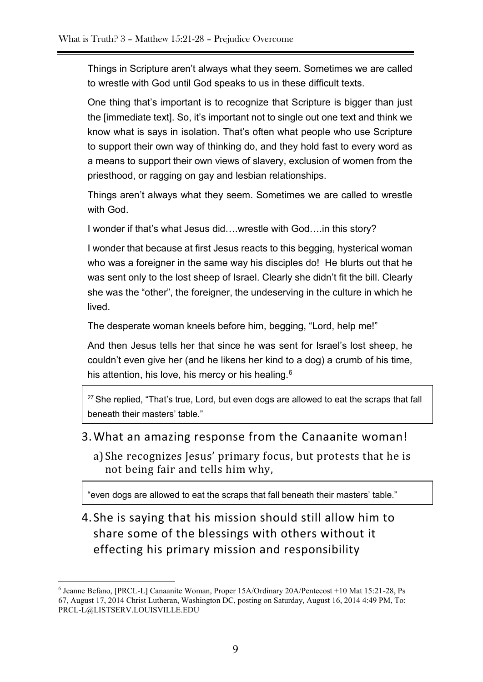Things in Scripture aren't always what they seem. Sometimes we are called to wrestle with God until God speaks to us in these difficult texts.

One thing that's important is to recognize that Scripture is bigger than just the [immediate text]. So, it's important not to single out one text and think we know what is says in isolation. That's often what people who use Scripture to support their own way of thinking do, and they hold fast to every word as a means to support their own views of slavery, exclusion of women from the priesthood, or ragging on gay and lesbian relationships.

Things aren't always what they seem. Sometimes we are called to wrestle with God.

I wonder if that's what Jesus did….wrestle with God….in this story?

I wonder that because at first Jesus reacts to this begging, hysterical woman who was a foreigner in the same way his disciples do! He blurts out that he was sent only to the lost sheep of Israel. Clearly she didn't fit the bill. Clearly she was the "other", the foreigner, the undeserving in the culture in which he lived.

The desperate woman kneels before him, begging, "Lord, help me!"

And then Jesus tells her that since he was sent for Israel's lost sheep, he couldn't even give her (and he likens her kind to a dog) a crumb of his time, his attention, his love, his mercy or his healing.<sup>6</sup>

<sup>27</sup> She replied, "That's true, Lord, but even dogs are allowed to eat the scraps that fall beneath their masters' table."

#### 3.What an amazing response from the Canaanite woman!

a)She recognizes Jesus' primary focus, but protests that he is not being fair and tells him why,

"even dogs are allowed to eat the scraps that fall beneath their masters' table."

4. She is saying that his mission should still allow him to share some of the blessings with others without it effecting his primary mission and responsibility

1

<sup>6</sup> Jeanne Befano, [PRCL-L] Canaanite Woman, Proper 15A/Ordinary 20A/Pentecost +10 Mat 15:21-28, Ps 67, August 17, 2014 Christ Lutheran, Washington DC, posting on Saturday, August 16, 2014 4:49 PM, To: [PRCL-L@LISTSERV.LOUISVILLE.EDU](mailto:PRCL-L@LISTSERV.LOUISVILLE.EDU)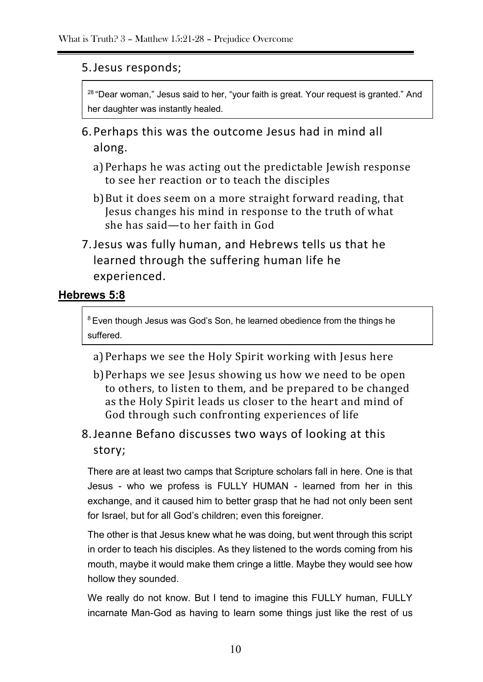### 5.Jesus responds;

<sup>28</sup> "Dear woman," Jesus said to her, "your faith is great. Your request is granted." And her daughter was instantly healed.

- 6.Perhaps this was the outcome Jesus had in mind all along.
	- a)Perhaps he was acting out the predictable Jewish response to see her reaction or to teach the disciples
	- b)But it does seem on a more straight forward reading, that Jesus changes his mind in response to the truth of what she has said—to her faith in God
- 7.Jesus was fully human, and Hebrews tells us that he learned through the suffering human life he experienced.

### **Hebrews 5:8**

<sup>8</sup> Even though Jesus was God's Son, he learned obedience from the things he suffered.

a)Perhaps we see the Holy Spirit working with Jesus here

b)Perhaps we see Jesus showing us how we need to be open to others, to listen to them, and be prepared to be changed as the Holy Spirit leads us closer to the heart and mind of God through such confronting experiences of life

### 8.Jeanne Befano discusses two ways of looking at this story;

There are at least two camps that Scripture scholars fall in here. One is that Jesus - who we profess is FULLY HUMAN - learned from her in this exchange, and it caused him to better grasp that he had not only been sent for Israel, but for all God's children; even this foreigner.

The other is that Jesus knew what he was doing, but went through this script in order to teach his disciples. As they listened to the words coming from his mouth, maybe it would make them cringe a little. Maybe they would see how hollow they sounded.

We really do not know. But I tend to imagine this FULLY human, FULLY incarnate Man-God as having to learn some things just like the rest of us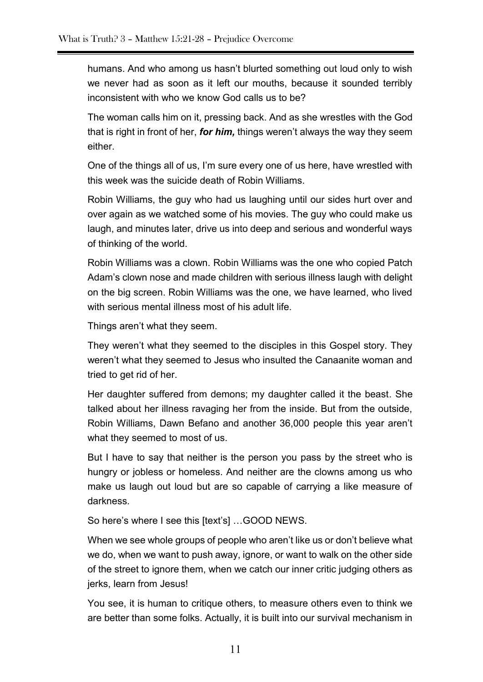humans. And who among us hasn't blurted something out loud only to wish we never had as soon as it left our mouths, because it sounded terribly inconsistent with who we know God calls us to be?

The woman calls him on it, pressing back. And as she wrestles with the God that is right in front of her, *for him,* things weren't always the way they seem either.

One of the things all of us, I'm sure every one of us here, have wrestled with this week was the suicide death of Robin Williams.

Robin Williams, the guy who had us laughing until our sides hurt over and over again as we watched some of his movies. The guy who could make us laugh, and minutes later, drive us into deep and serious and wonderful ways of thinking of the world.

Robin Williams was a clown. Robin Williams was the one who copied Patch Adam's clown nose and made children with serious illness laugh with delight on the big screen. Robin Williams was the one, we have learned, who lived with serious mental illness most of his adult life.

Things aren't what they seem.

They weren't what they seemed to the disciples in this Gospel story. They weren't what they seemed to Jesus who insulted the Canaanite woman and tried to get rid of her.

Her daughter suffered from demons; my daughter called it the beast. She talked about her illness ravaging her from the inside. But from the outside, Robin Williams, Dawn Befano and another 36,000 people this year aren't what they seemed to most of us.

But I have to say that neither is the person you pass by the street who is hungry or jobless or homeless. And neither are the clowns among us who make us laugh out loud but are so capable of carrying a like measure of darkness.

So here's where I see this [text's] …GOOD NEWS.

When we see whole groups of people who aren't like us or don't believe what we do, when we want to push away, ignore, or want to walk on the other side of the street to ignore them, when we catch our inner critic judging others as jerks, learn from Jesus!

You see, it is human to critique others, to measure others even to think we are better than some folks. Actually, it is built into our survival mechanism in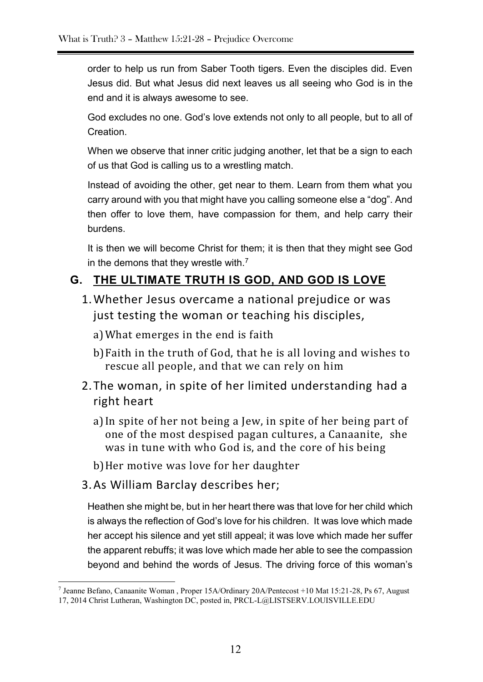order to help us run from Saber Tooth tigers. Even the disciples did. Even Jesus did. But what Jesus did next leaves us all seeing who God is in the end and it is always awesome to see.

God excludes no one. God's love extends not only to all people, but to all of **Creation** 

When we observe that inner critic judging another, let that be a sign to each of us that God is calling us to a wrestling match.

Instead of avoiding the other, get near to them. Learn from them what you carry around with you that might have you calling someone else a "dog". And then offer to love them, have compassion for them, and help carry their burdens.

It is then we will become Christ for them; it is then that they might see God in the demons that they wrestle with.<sup>7</sup>

### **G. THE ULTIMATE TRUTH IS GOD, AND GOD IS LOVE**

1.Whether Jesus overcame a national prejudice or was just testing the woman or teaching his disciples,

a)What emerges in the end is faith

- b)Faith in the truth of God, that he is all loving and wishes to rescue all people, and that we can rely on him
- 2.The woman, in spite of her limited understanding had a right heart
	- a)In spite of her not being a Jew, in spite of her being part of one of the most despised pagan cultures, a Canaanite, she was in tune with who God is, and the core of his being

b)Her motive was love for her daughter

3.As William Barclay describes her;

Heathen she might be, but in her heart there was that love for her child which is always the reflection of God's love for his children. It was love which made her accept his silence and yet still appeal; it was love which made her suffer the apparent rebuffs; it was love which made her able to see the compassion beyond and behind the words of Jesus. The driving force of this woman's

<sup>1</sup> 7 Jeanne Befano, Canaanite Woman , Proper 15A/Ordinary 20A/Pentecost +10 Mat 15:21-28, Ps 67, August 17, 2014 Christ Lutheran, Washington DC, posted in, [PRCL-L@LISTSERV.LOUISVILLE.EDU](mailto:PRCL-L@LISTSERV.LOUISVILLE.EDU)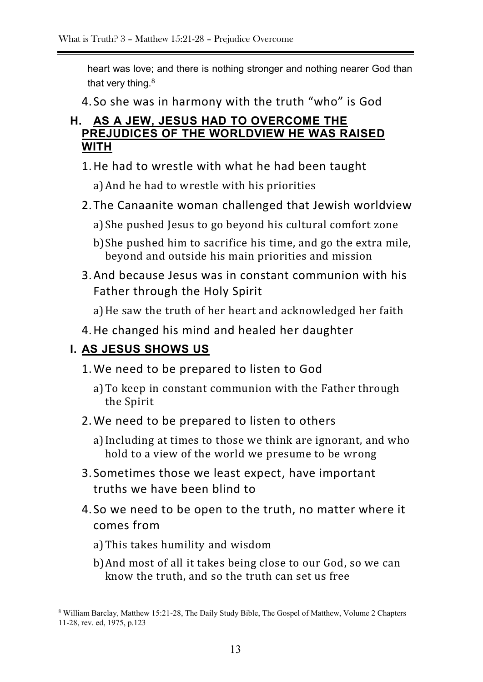heart was love; and there is nothing stronger and nothing nearer God than that very thing.<sup>8</sup>

4. So she was in harmony with the truth "who" is God

### **H. AS A JEW, JESUS HAD TO OVERCOME THE PREJUDICES OF THE WORLDVIEW HE WAS RAISED WITH**

1.He had to wrestle with what he had been taught

a)And he had to wrestle with his priorities

- 2.The Canaanite woman challenged that Jewish worldview
	- a)She pushed Jesus to go beyond his cultural comfort zone
	- b)She pushed him to sacrifice his time, and go the extra mile, beyond and outside his main priorities and mission
- 3.And because Jesus was in constant communion with his Father through the Holy Spirit
	- a)He saw the truth of her heart and acknowledged her faith
- 4.He changed his mind and healed her daughter

### **I. AS JESUS SHOWS US**

- 1.We need to be prepared to listen to God
	- a)To keep in constant communion with the Father through the Spirit
- 2.We need to be prepared to listen to others
	- a)Including at times to those we think are ignorant, and who hold to a view of the world we presume to be wrong
- 3. Sometimes those we least expect, have important truths we have been blind to
- 4. So we need to be open to the truth, no matter where it comes from
	- a)This takes humility and wisdom

b)And most of all it takes being close to our God, so we can know the truth, and so the truth can set us free

<sup>8</sup> William Barclay, Matthew 15:21-28, The Daily Study Bible, The Gospel of Matthew, Volume 2 Chapters 11-28, rev. ed, 1975, p.123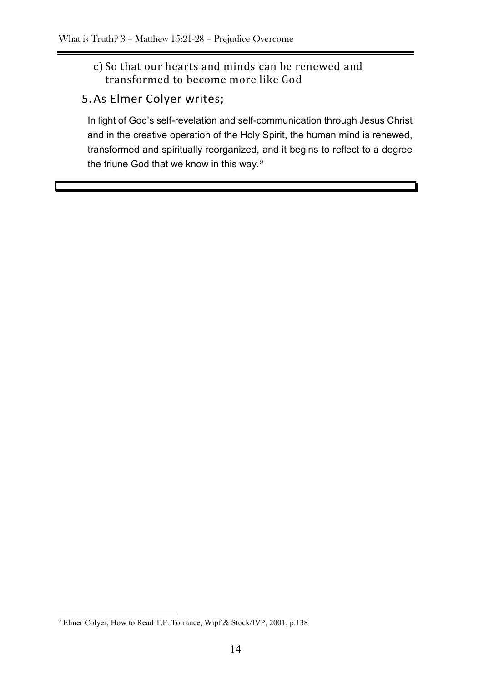#### c) So that our hearts and minds can be renewed and transformed to become more like God

### 5.As Elmer Colyer writes;

In light of God's self-revelation and self-communication through Jesus Christ and in the creative operation of the Holy Spirit, the human mind is renewed, transformed and spiritually reorganized, and it begins to reflect to a degree the triune God that we know in this way.<sup>9</sup>

<sup>&</sup>lt;sup>9</sup> Elmer Colyer, How to Read T.F. Torrance, Wipf & Stock/IVP, 2001, p.138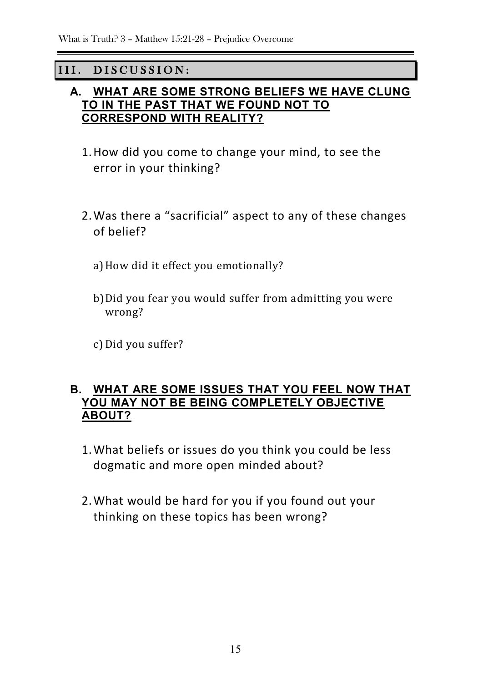### III. DISCUSSION:

#### **A. WHAT ARE SOME STRONG BELIEFS WE HAVE CLUNG TO IN THE PAST THAT WE FOUND NOT TO CORRESPOND WITH REALITY?**

- 1.How did you come to change your mind, to see the error in your thinking?
- 2.Was there a "sacrificial" aspect to any of these changes of belief?
	- a) How did it effect you emotionally?
	- b)Did you fear you would suffer from admitting you were wrong?

c) Did you suffer?

#### **B. WHAT ARE SOME ISSUES THAT YOU FEEL NOW THAT YOU MAY NOT BE BEING COMPLETELY OBJECTIVE ABOUT?**

- 1.What beliefs or issues do you think you could be less dogmatic and more open minded about?
- 2.What would be hard for you if you found out your thinking on these topics has been wrong?